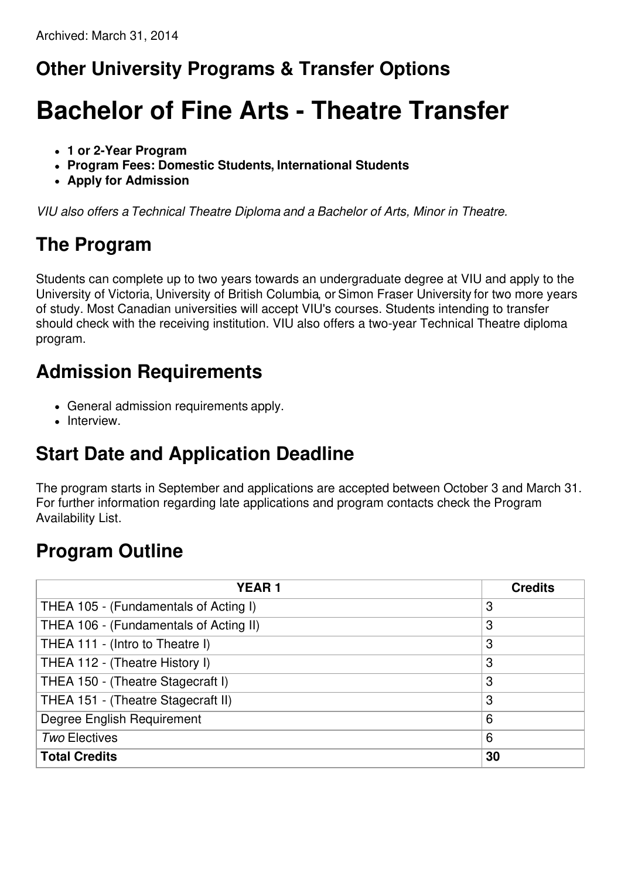## **Other University Programs & Transfer Options**

# **Bachelor of Fine Arts - Theatre Transfer**

- **1 or 2-Year Program**
- **Program Fees: Domestic Students, International Students**
- **Apply for Admission**

*VIU also offers a Technical Theatre Diploma and a Bachelor of Arts, Minor in Theatre.*

## **The Program**

Students can complete up to two years towards an undergraduate degree at VIU and apply to the University of Victoria, University of British Columbia, or Simon Fraser University for two more years of study. Most Canadian universities will accept VIU's courses. Students intending to transfer should check with the receiving institution. VIU also offers a two-year Technical Theatre diploma program.

#### **Admission Requirements**

- General admission requirements apply.
- Interview.

# **Start Date and Application Deadline**

The program starts in September and applications are accepted between October 3 and March 31. For further information regarding late applications and program contacts check the Program Availability List.

## **Program Outline**

| <b>YEAR1</b>                           | <b>Credits</b> |
|----------------------------------------|----------------|
| THEA 105 - (Fundamentals of Acting I)  | 3              |
| THEA 106 - (Fundamentals of Acting II) | 3              |
| THEA 111 - (Intro to Theatre I)        | 3              |
| THEA 112 - (Theatre History I)         | 3              |
| THEA 150 - (Theatre Stagecraft I)      | 3              |
| THEA 151 - (Theatre Stagecraft II)     | 3              |
| Degree English Requirement             | 6              |
| <b>Two Electives</b>                   | 6              |
| <b>Total Credits</b>                   | 30             |